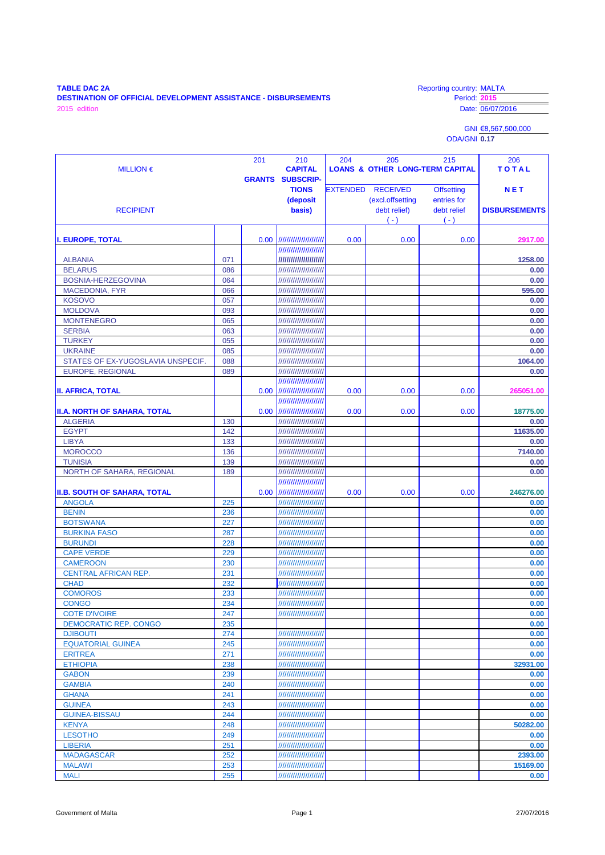## **TABLE DAC 2A** Reporting country: MALTA **DESTINATION OF OFFICIAL DEVELOPMENT ASSISTANCE - DISBURSEMENTS** Period: **2015** TABLE DAC 2A<br>
DESTINATION OF OFFICIAL DEVELOPMENT ASSISTANCE - DISBURSEMENTS<br>
2015 edition Date: 06/07/2016

GNI €8,567,500,000 ODA/GNI **0.17**

| MILLION $\epsilon$                                  |            | 201               | 210<br><b>CAPITAL</b>                           | 204  | 205                                                                   | 215<br><b>LOANS &amp; OTHER LONG-TERM CAPITAL</b>        | 206<br>TOTAL                       |
|-----------------------------------------------------|------------|-------------------|-------------------------------------------------|------|-----------------------------------------------------------------------|----------------------------------------------------------|------------------------------------|
|                                                     |            |                   | <b>GRANTS SUBSCRIP-</b>                         |      |                                                                       |                                                          |                                    |
| <b>RECIPIENT</b>                                    |            |                   | <b>TIONS</b><br>(deposit<br>basis)              |      | <b>EXTENDED RECEIVED</b><br>(excl.offsetting<br>debt relief)<br>$(-)$ | <b>Offsetting</b><br>entries for<br>debt relief<br>$(-)$ | <b>NET</b><br><b>DISBURSEMENTS</b> |
| <b>I. EUROPE, TOTAL</b>                             |            |                   | 0.00  ///////////////////////                   | 0.00 | 0.00                                                                  | 0.00                                                     | 2917.00                            |
|                                                     |            |                   | //////////////////////                          |      |                                                                       |                                                          |                                    |
| <b>ALBANIA</b>                                      | 071        |                   | //////////////////////                          |      |                                                                       |                                                          | 1258.00                            |
| <b>BELARUS</b>                                      | 086        |                   | //////////////////////                          |      |                                                                       |                                                          | 0.00                               |
| BOSNIA-HERZEGOVINA                                  | 064        |                   | //////////////////////                          |      |                                                                       |                                                          | 0.00                               |
| <b>MACEDONIA, FYR</b>                               | 066        |                   | /////////////////////                           |      |                                                                       |                                                          | 595.00                             |
| <b>KOSOVO</b>                                       | 057        |                   | /////////////////////                           |      |                                                                       |                                                          | 0.00                               |
| <b>MOLDOVA</b>                                      | 093        |                   | /////////////////////                           |      |                                                                       |                                                          | 0.00                               |
| <b>MONTENEGRO</b>                                   | 065        |                   | /////////////////////                           |      |                                                                       |                                                          | 0.00                               |
| <b>SERBIA</b>                                       | 063        |                   | /////////////////////                           |      |                                                                       |                                                          | 0.00                               |
| <b>TURKEY</b>                                       | 055        |                   | /////////////////////                           |      |                                                                       |                                                          | 0.00                               |
| <b>UKRAINE</b><br>STATES OF EX-YUGOSLAVIA UNSPECIF. | 085<br>088 |                   | /////////////////////<br>/////////////////////  |      |                                                                       |                                                          | 0.00<br>1064.00                    |
| <b>EUROPE, REGIONAL</b>                             | 089        |                   | //////////////////////                          |      |                                                                       |                                                          | 0.00                               |
|                                                     |            |                   | //////////////////////                          |      |                                                                       |                                                          |                                    |
| <b>II. AFRICA, TOTAL</b>                            |            | 0.00 <sub>1</sub> | ///////////////////////                         | 0.00 | 0.00                                                                  | 0.00                                                     | 265051.00                          |
|                                                     |            |                   | ///////////////////////                         |      |                                                                       |                                                          |                                    |
| <b>II.A. NORTH OF SAHARA, TOTAL</b>                 |            |                   | 0.00  //////////////////////                    | 0.00 | 0.00                                                                  | 0.00                                                     | 18775.00                           |
| <b>ALGERIA</b>                                      | 130        |                   | //////////////////////                          |      |                                                                       |                                                          | 0.00                               |
| <b>EGYPT</b>                                        | 142        |                   | //////////////////////                          |      |                                                                       |                                                          | 11635.00                           |
| <b>LIBYA</b>                                        | 133        |                   | /////////////////////                           |      |                                                                       |                                                          | 0.00                               |
| <b>MOROCCO</b>                                      | 136        |                   | /////////////////////                           |      |                                                                       |                                                          | 7140.00                            |
| <b>TUNISIA</b>                                      | 139        |                   | //////////////////////                          |      |                                                                       |                                                          | 0.00                               |
| NORTH OF SAHARA, REGIONAL                           | 189        |                   | /////////////////////                           |      |                                                                       |                                                          | 0.00                               |
|                                                     |            |                   | //////////////////////                          |      |                                                                       |                                                          |                                    |
| <b>II.B. SOUTH OF SAHARA, TOTAL</b>                 |            | 0.00              | ///////////////////////                         | 0.00 | 0.00                                                                  | 0.00                                                     | 246276.00                          |
| <b>ANGOLA</b>                                       | 225        |                   | //////////////////////                          |      |                                                                       |                                                          | 0.00                               |
| <b>BENIN</b><br><b>BOTSWANA</b>                     | 236<br>227 |                   | //////////////////////<br>///////////////////// |      |                                                                       |                                                          | 0.00<br>0.00                       |
| <b>BURKINA FASO</b>                                 | 287        |                   | //////////////////////                          |      |                                                                       |                                                          | 0.00                               |
| <b>BURUNDI</b>                                      | 228        |                   | /////////////////////                           |      |                                                                       |                                                          | 0.00                               |
| <b>CAPE VERDE</b>                                   | 229        |                   | //////////////////////                          |      |                                                                       |                                                          | 0.00                               |
| <b>CAMEROON</b>                                     | 230        |                   | /////////////////////                           |      |                                                                       |                                                          | 0.00                               |
| <b>CENTRAL AFRICAN REP.</b>                         | 231        |                   | /////////////////////                           |      |                                                                       |                                                          | 0.00                               |
| <b>CHAD</b>                                         | 232        |                   | //////////////////////                          |      |                                                                       |                                                          | 0.00                               |
| <b>COMOROS</b>                                      | 233        |                   | //////////////////////                          |      |                                                                       |                                                          | 0.00                               |
| <b>CONGO</b>                                        | 234        |                   | /////////////////////                           |      |                                                                       |                                                          | 0.00                               |
| <b>COTE D'IVOIRE</b>                                | 247        |                   | //////////////////////                          |      |                                                                       |                                                          | 0.00                               |
| <b>DEMOCRATIC REP. CONGO</b>                        | 235        |                   |                                                 |      |                                                                       |                                                          | 0.00                               |
| <b>DJIBOUTI</b>                                     | 274        |                   | /////////////////////                           |      |                                                                       |                                                          | 0.00                               |
| <b>EQUATORIAL GUINEA</b>                            | 245        |                   | //////////////////////                          |      |                                                                       |                                                          | 0.00                               |
| <b>ERITREA</b>                                      | 271        |                   | /////////////////////                           |      |                                                                       |                                                          | 0.00                               |
| <b>ETHIOPIA</b><br><b>GABON</b>                     | 238<br>239 |                   | /////////////////////<br>////////////////////// |      |                                                                       |                                                          | 32931.00                           |
| <b>GAMBIA</b>                                       | 240        |                   | /////////////////////                           |      |                                                                       |                                                          | 0.00<br>0.00                       |
| <b>GHANA</b>                                        | 241        |                   | //////////////////////                          |      |                                                                       |                                                          | 0.00                               |
| <b>GUINEA</b>                                       | 243        |                   | /////////////////////                           |      |                                                                       |                                                          | 0.00                               |
| <b>GUINEA-BISSAU</b>                                | 244        |                   | /////////////////////                           |      |                                                                       |                                                          | 0.00                               |
| <b>KENYA</b>                                        | 248        |                   | //////////////////////                          |      |                                                                       |                                                          | 50282.00                           |
| <b>LESOTHO</b>                                      | 249        |                   | /////////////////////                           |      |                                                                       |                                                          | 0.00                               |
| <b>LIBERIA</b>                                      | 251        |                   | /////////////////////                           |      |                                                                       |                                                          | 0.00                               |
| <b>MADAGASCAR</b>                                   | 252        |                   | /////////////////////                           |      |                                                                       |                                                          | 2393.00                            |
| <b>MALAWI</b>                                       | 253        |                   | /////////////////////                           |      |                                                                       |                                                          | 15169.00                           |
| <b>MALI</b>                                         | 255        |                   | /////////////////////                           |      |                                                                       |                                                          | 0.00                               |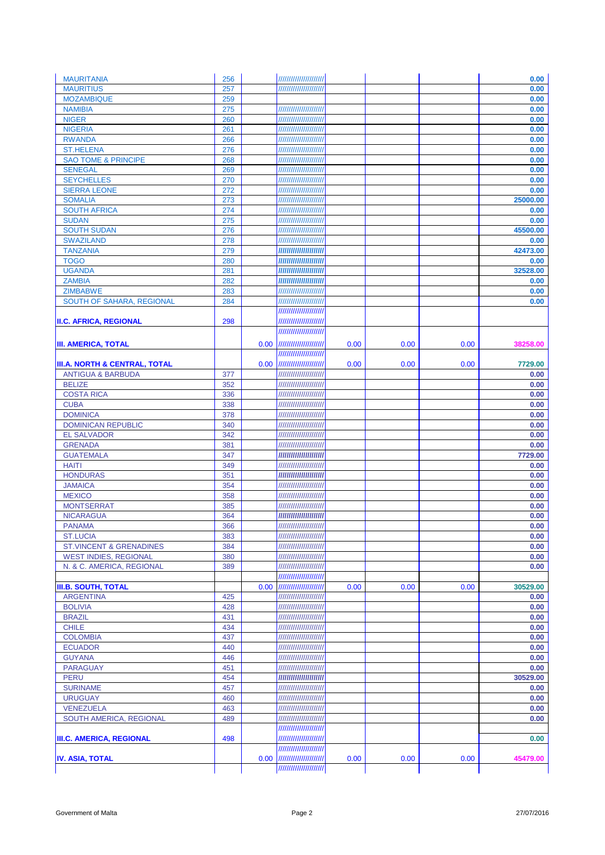| <b>MAURITANIA</b>                   | 256        |      | /////////////////////                             |      |      |      | 0.00         |
|-------------------------------------|------------|------|---------------------------------------------------|------|------|------|--------------|
| <b>MAURITIUS</b>                    | 257        |      | //////////////////////                            |      |      |      | 0.00         |
| <b>MOZAMBIQUE</b>                   | 259        |      |                                                   |      |      |      | 0.00         |
| <b>NAMIBIA</b>                      | 275        |      | /////////////////////                             |      |      |      | 0.00         |
| <b>NIGER</b>                        | 260        |      | /////////////////////                             |      |      |      | 0.00         |
| <b>NIGERIA</b>                      | 261        |      | /////////////////////                             |      |      |      | 0.00         |
| <b>RWANDA</b>                       | 266        |      | /////////////////////                             |      |      |      | 0.00         |
| <b>ST.HELENA</b>                    | 276        |      | /////////////////////                             |      |      |      | 0.00         |
| <b>SAO TOME &amp; PRINCIPE</b>      | 268        |      | /////////////////////                             |      |      |      | 0.00         |
| <b>SENEGAL</b><br><b>SEYCHELLES</b> | 269<br>270 |      | //////////////////////<br>/////////////////////   |      |      |      | 0.00         |
| <b>SIERRA LEONE</b>                 | 272        |      | //////////////////////                            |      |      |      | 0.00<br>0.00 |
| <b>SOMALIA</b>                      | 273        |      | //////////////////////                            |      |      |      | 25000.00     |
| <b>SOUTH AFRICA</b>                 | 274        |      | /////////////////////                             |      |      |      | 0.00         |
| <b>SUDAN</b>                        | 275        |      | //////////////////////                            |      |      |      | 0.00         |
| <b>SOUTH SUDAN</b>                  | 276        |      | //////////////////////                            |      |      |      | 45500.00     |
| <b>SWAZILAND</b>                    | 278        |      | /////////////////////                             |      |      |      | 0.00         |
| <b>TANZANIA</b>                     | 279        |      | /////////////////////                             |      |      |      | 42473.00     |
| <b>TOGO</b>                         | 280        |      | /////////////////////                             |      |      |      | 0.00         |
| <b>UGANDA</b>                       | 281        |      | //////////////////////                            |      |      |      | 32528.00     |
| <b>ZAMBIA</b>                       | 282        |      | //////////////////////                            |      |      |      | 0.00         |
| <b>ZIMBABWE</b>                     | 283        |      | //////////////////////                            |      |      |      | 0.00         |
| <b>SOUTH OF SAHARA, REGIONAL</b>    | 284        |      | /////////////////////                             |      |      |      | 0.00         |
|                                     |            |      | ///////////////////////                           |      |      |      |              |
| <b>II.C. AFRICA, REGIONAL</b>       | 298        |      | //////////////////////                            |      |      |      |              |
|                                     |            |      | //////////////////////                            |      |      |      |              |
| <b>III. AMERICA, TOTAL</b>          |            |      | 0.00  //////////////////////                      | 0.00 | 0.00 | 0.00 | 38258.00     |
|                                     |            |      | ///////////////////////                           |      |      |      |              |
| III.A. NORTH & CENTRAL, TOTAL       |            |      | 0.00  ///////////////////////                     | 0.00 | 0.00 | 0.00 | 7729.00      |
| <b>ANTIGUA &amp; BARBUDA</b>        | 377        |      | //////////////////////                            |      |      |      | 0.00         |
| <b>BELIZE</b>                       | 352        |      | //////////////////////                            |      |      |      | 0.00         |
| <b>COSTA RICA</b>                   | 336        |      | /////////////////////                             |      |      |      | 0.00         |
| <b>CUBA</b>                         | 338        |      | /////////////////////                             |      |      |      | 0.00         |
| <b>DOMINICA</b>                     | 378        |      | //////////////////////                            |      |      |      | 0.00         |
| <b>DOMINICAN REPUBLIC</b>           | 340        |      | /////////////////////                             |      |      |      | 0.00         |
| <b>EL SALVADOR</b>                  | 342        |      | /////////////////////                             |      |      |      | 0.00         |
| <b>GRENADA</b>                      | 381        |      | /////////////////////                             |      |      |      | 0.00         |
| <b>GUATEMALA</b>                    | 347        |      | //////////////////////                            |      |      |      | 7729.00      |
| <b>HAITI</b>                        | 349        |      | //////////////////////                            |      |      |      | 0.00         |
| <b>HONDURAS</b>                     | 351        |      | //////////////////////                            |      |      |      | 0.00         |
| <b>JAMAICA</b>                      | 354        |      | /////////////////////                             |      |      |      | 0.00         |
| <b>MEXICO</b><br><b>MONTSERRAT</b>  | 358<br>385 |      | //////////////////////<br>/////////////////////   |      |      |      | 0.00<br>0.00 |
| <b>NICARAGUA</b>                    | 364        |      | //////////////////////                            |      |      |      | 0.00         |
| <b>PANAMA</b>                       | 366        |      | //////////////////////                            |      |      |      | 0.00         |
| <b>ST.LUCIA</b>                     | 383        |      | //////////////////////                            |      |      |      | 0.00         |
| <b>ST.VINCENT &amp; GRENADINES</b>  | 384        |      | //////////////////////                            |      |      |      | 0.00         |
| <b>WEST INDIES, REGIONAL</b>        | 380        |      | //////////////////////                            |      |      |      | 0.00         |
| N. & C. AMERICA, REGIONAL           | 389        |      | /////////////////////                             |      |      |      | 0.00         |
|                                     |            |      | //////////////////////                            |      |      |      |              |
| <b>III.B. SOUTH, TOTAL</b>          |            | 0.00 | //////////////////////                            | 0.00 | 0.00 | 0.00 | 30529.00     |
| <b>ARGENTINA</b>                    | 425        |      | //////////////////////                            |      |      |      | 0.00         |
| <b>BOLIVIA</b>                      | 428        |      | /////////////////////                             |      |      |      | 0.00         |
| <b>BRAZIL</b>                       | 431        |      | //////////////////////                            |      |      |      | 0.00         |
| <b>CHILE</b>                        | 434        |      | //////////////////////                            |      |      |      | 0.00         |
| <b>COLOMBIA</b>                     | 437        |      | //////////////////////                            |      |      |      | 0.00         |
| <b>ECUADOR</b>                      | 440        |      | //////////////////////                            |      |      |      | 0.00         |
| <b>GUYANA</b>                       | 446        |      | //////////////////////                            |      |      |      | 0.00         |
| <b>PARAGUAY</b>                     | 451        |      | //////////////////////                            |      |      |      | 0.00         |
| <b>PERU</b>                         | 454        |      | //////////////////////                            |      |      |      | 30529.00     |
| <b>SURINAME</b>                     | 457        |      | //////////////////////                            |      |      |      | 0.00         |
| <b>URUGUAY</b>                      | 460        |      | //////////////////////                            |      |      |      | 0.00         |
| <b>VENEZUELA</b>                    | 463        |      | /////////////////////                             |      |      |      | 0.00         |
| SOUTH AMERICA, REGIONAL             | 489        |      | //////////////////////                            |      |      |      | 0.00         |
| <b>III.C. AMERICA, REGIONAL</b>     | 498        |      | //////////////////////<br>/////////////////////// |      |      |      | 0.00         |
|                                     |            |      | //////////////////////                            |      |      |      |              |
| <b>IV. ASIA, TOTAL</b>              |            |      | 0.00  /////////////////////                       | 0.00 | 0.00 | 0.00 | 45479.00     |
|                                     |            |      | //////////////////////                            |      |      |      |              |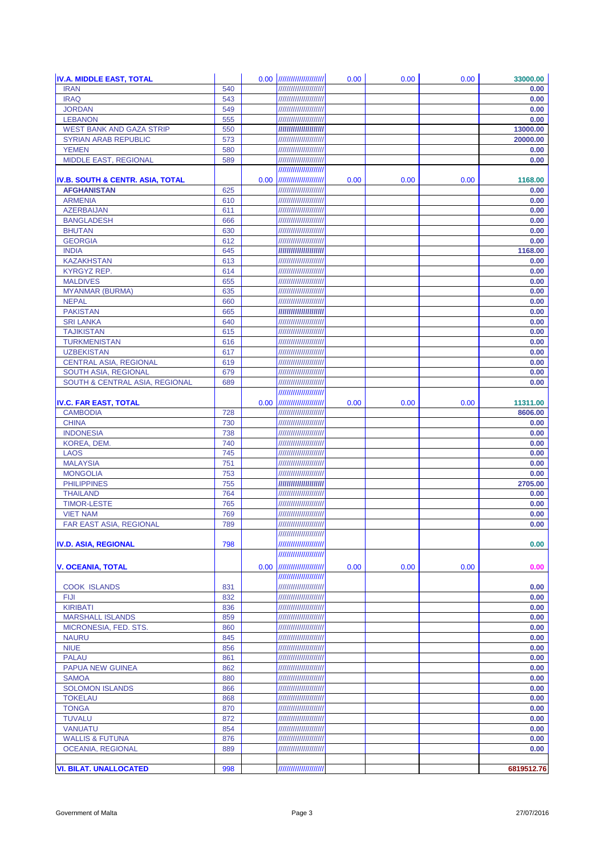| <b>IV.A. MIDDLE EAST, TOTAL</b>             |            |                   | 0.00  //////////////////////                     | 0.00 | 0.00 | 0.00 | 33000.00     |
|---------------------------------------------|------------|-------------------|--------------------------------------------------|------|------|------|--------------|
| <b>IRAN</b>                                 | 540        |                   | //////////////////////                           |      |      |      | 0.00         |
| <b>IRAQ</b>                                 | 543        |                   | //////////////////////                           |      |      |      | 0.00         |
| <b>JORDAN</b>                               | 549        |                   | //////////////////////                           |      |      |      | 0.00         |
| <b>LEBANON</b>                              | 555        |                   | /////////////////////                            |      |      |      | 0.00         |
| <b>WEST BANK AND GAZA STRIP</b>             | 550        |                   | //////////////////////                           |      |      |      | 13000.00     |
| <b>SYRIAN ARAB REPUBLIC</b>                 | 573        |                   | //////////////////////                           |      |      |      | 20000.00     |
| <b>YEMEN</b><br>MIDDLE EAST, REGIONAL       | 580<br>589 |                   | /////////////////////<br>//////////////////////  |      |      |      | 0.00         |
|                                             |            |                   | //////////////////////                           |      |      |      | 0.00         |
| <b>IV.B. SOUTH &amp; CENTR. ASIA, TOTAL</b> |            |                   | 0.00  //////////////////////                     | 0.00 | 0.00 | 0.00 | 1168.00      |
| <b>AFGHANISTAN</b>                          | 625        |                   | //////////////////////                           |      |      |      | 0.00         |
| <b>ARMENIA</b>                              | 610        |                   | //////////////////////                           |      |      |      | 0.00         |
| <b>AZERBAIJAN</b>                           | 611        |                   | /////////////////////                            |      |      |      | 0.00         |
| <b>BANGLADESH</b>                           | 666        |                   | //////////////////////                           |      |      |      | 0.00         |
| <b>BHUTAN</b>                               | 630        |                   | //////////////////////                           |      |      |      | 0.00         |
| <b>GEORGIA</b>                              | 612        |                   | /////////////////////                            |      |      |      | 0.00         |
| <b>INDIA</b>                                | 645        |                   | //////////////////////                           |      |      |      | 1168.00      |
| <b>KAZAKHSTAN</b>                           | 613        |                   | /////////////////////                            |      |      |      | 0.00         |
| KYRGYZ REP.                                 | 614        |                   | /////////////////////                            |      |      |      | 0.00         |
| <b>MALDIVES</b>                             | 655        |                   | //////////////////////                           |      |      |      | 0.00         |
| <b>MYANMAR (BURMA)</b><br><b>NEPAL</b>      | 635        |                   | /////////////////////<br>/////////////////////   |      |      |      | 0.00         |
| <b>PAKISTAN</b>                             | 660<br>665 |                   | //////////////////////                           |      |      |      | 0.00<br>0.00 |
| <b>SRI LANKA</b>                            | 640        |                   | /////////////////////                            |      |      |      | 0.00         |
| <b>TAJIKISTAN</b>                           | 615        |                   | /////////////////////                            |      |      |      | 0.00         |
| <b>TURKMENISTAN</b>                         | 616        |                   | //////////////////////                           |      |      |      | 0.00         |
| <b>UZBEKISTAN</b>                           | 617        |                   | /////////////////////                            |      |      |      | 0.00         |
| <b>CENTRAL ASIA, REGIONAL</b>               | 619        |                   | //////////////////////                           |      |      |      | 0.00         |
| <b>SOUTH ASIA, REGIONAL</b>                 | 679        |                   | /////////////////////                            |      |      |      | 0.00         |
| <b>SOUTH &amp; CENTRAL ASIA, REGIONAL</b>   | 689        |                   | /////////////////////                            |      |      |      | 0.00         |
|                                             |            |                   | //////////////////////                           |      |      |      |              |
| <b>IV.C. FAR EAST, TOTAL</b>                |            | 0.00 <sub>1</sub> | //////////////////////                           | 0.00 | 0.00 | 0.00 | 11311.00     |
| <b>CAMBODIA</b>                             | 728        |                   | //////////////////////                           |      |      |      | 8606.00      |
| <b>CHINA</b>                                | 730        |                   | /////////////////////                            |      |      |      | 0.00         |
| <b>INDONESIA</b><br>KOREA, DEM.             | 738<br>740 |                   | /////////////////////<br>//////////////////////  |      |      |      | 0.00<br>0.00 |
| <b>LAOS</b>                                 | 745        |                   | /////////////////////                            |      |      |      | 0.00         |
| <b>MALAYSIA</b>                             | 751        |                   | /////////////////////                            |      |      |      | 0.00         |
| <b>MONGOLIA</b>                             | 753        |                   | //////////////////////                           |      |      |      | 0.00         |
| <b>PHILIPPINES</b>                          | 755        |                   | /////////////////////                            |      |      |      | 2705.00      |
| <b>THAILAND</b>                             | 764        |                   | /////////////////////                            |      |      |      | 0.00         |
| <b>TIMOR-LESTE</b>                          | 765        |                   | //////////////////////                           |      |      |      | 0.00         |
| <b>VIET NAM</b>                             | 769        |                   | //////////////////////                           |      |      |      | 0.00         |
| <b>FAR EAST ASIA, REGIONAL</b>              | 789        |                   | //////////////////////                           |      |      |      | 0.00         |
|                                             |            |                   | //////////////////////                           |      |      |      |              |
| <b>IV.D. ASIA, REGIONAL</b>                 | 798        |                   | ///////////////////////                          |      |      |      | 0.00         |
|                                             |            |                   | //////////////////////                           |      |      |      |              |
| <b>V. OCEANIA. TOTAL</b>                    |            |                   | 0.00  //////////////////////                     | 0.00 | 0.00 | 0.00 | 0.00         |
|                                             |            |                   | ///////////////////////                          |      |      |      |              |
| <b>COOK ISLANDS</b><br><b>FIJI</b>          | 831<br>832 |                   | //////////////////////<br>////////////////////// |      |      |      | 0.00<br>0.00 |
| <b>KIRIBATI</b>                             | 836        |                   | //////////////////////                           |      |      |      | 0.00         |
| <b>MARSHALL ISLANDS</b>                     | 859        |                   | /////////////////////                            |      |      |      | 0.00         |
| MICRONESIA, FED. STS.                       | 860        |                   | //////////////////////                           |      |      |      | 0.00         |
| <b>NAURU</b>                                | 845        |                   | //////////////////////                           |      |      |      | 0.00         |
| <b>NIUE</b>                                 | 856        |                   | //////////////////////                           |      |      |      | 0.00         |
| <b>PALAU</b>                                | 861        |                   | //////////////////////                           |      |      |      | 0.00         |
| <b>PAPUA NEW GUINEA</b>                     | 862        |                   | //////////////////////                           |      |      |      | 0.00         |
| <b>SAMOA</b>                                | 880        |                   | /////////////////////                            |      |      |      | 0.00         |
| <b>SOLOMON ISLANDS</b>                      | 866        |                   | //////////////////////                           |      |      |      | 0.00         |
| <b>TOKELAU</b>                              | 868        |                   | //////////////////////                           |      |      |      | 0.00         |
| <b>TONGA</b>                                | 870        |                   | //////////////////////                           |      |      |      | 0.00         |
| <b>TUVALU</b><br><b>VANUATU</b>             | 872        |                   | //////////////////////<br>/////////////////////  |      |      |      | 0.00         |
| <b>WALLIS &amp; FUTUNA</b>                  | 854<br>876 |                   | //////////////////////                           |      |      |      | 0.00<br>0.00 |
| <b>OCEANIA, REGIONAL</b>                    | 889        |                   | //////////////////////                           |      |      |      | 0.00         |
|                                             |            |                   |                                                  |      |      |      |              |
| <b>VI. BILAT. UNALLOCATED</b>               | 998        |                   | ///////////////////////                          |      |      |      | 6819512.76   |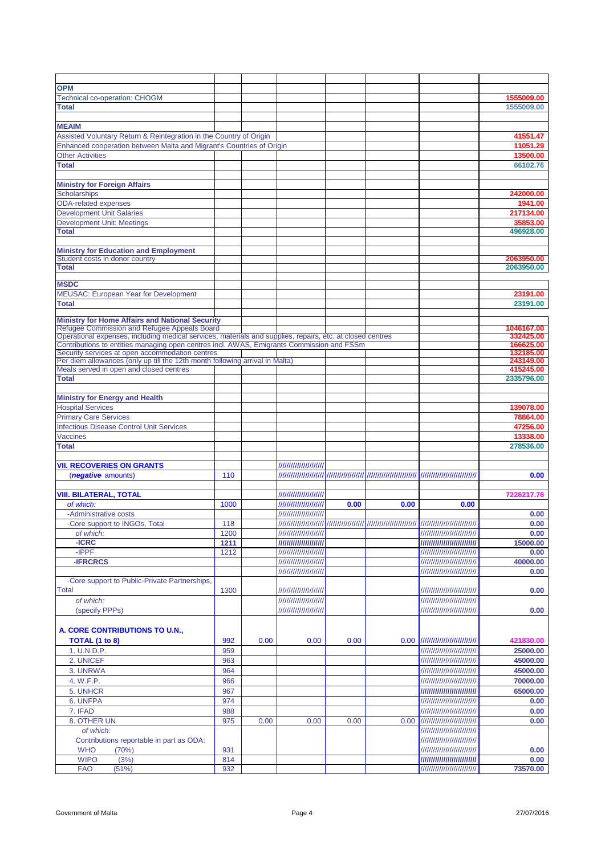| <b>OPM</b>                                                                                                |      |      |                                                 |      |      |                                                                |                          |
|-----------------------------------------------------------------------------------------------------------|------|------|-------------------------------------------------|------|------|----------------------------------------------------------------|--------------------------|
|                                                                                                           |      |      |                                                 |      |      |                                                                |                          |
| <b>Technical co-operation: CHOGM</b><br><b>Total</b>                                                      |      |      |                                                 |      |      |                                                                | 1555009.00<br>1555009.00 |
|                                                                                                           |      |      |                                                 |      |      |                                                                |                          |
|                                                                                                           |      |      |                                                 |      |      |                                                                |                          |
| <b>MEAIM</b>                                                                                              |      |      |                                                 |      |      |                                                                |                          |
| Assisted Voluntary Return & Reintegration in the Country of Origin                                        |      |      |                                                 |      |      |                                                                | 41551.47                 |
| Enhanced cooperation between Malta and Migrant's Countries of Origin                                      |      |      |                                                 |      |      |                                                                | 11051.29                 |
| <b>Other Activities</b>                                                                                   |      |      |                                                 |      |      |                                                                | 13500.00                 |
| <b>Total</b>                                                                                              |      |      |                                                 |      |      |                                                                | 66102.76                 |
|                                                                                                           |      |      |                                                 |      |      |                                                                |                          |
| <b>Ministry for Foreign Affairs</b>                                                                       |      |      |                                                 |      |      |                                                                |                          |
| <b>Scholarships</b>                                                                                       |      |      |                                                 |      |      |                                                                | 242000.00                |
| <b>ODA-related expenses</b>                                                                               |      |      |                                                 |      |      |                                                                | 1941.00                  |
| <b>Development Unit Salaries</b>                                                                          |      |      |                                                 |      |      |                                                                | 217134.00                |
| <b>Development Unit: Meetings</b>                                                                         |      |      |                                                 |      |      |                                                                | 35853.00                 |
| <b>Total</b>                                                                                              |      |      |                                                 |      |      |                                                                | 496928.00                |
|                                                                                                           |      |      |                                                 |      |      |                                                                |                          |
| <b>Ministry for Education and Employment</b>                                                              |      |      |                                                 |      |      |                                                                |                          |
| Student costs in donor country                                                                            |      |      |                                                 |      |      |                                                                | 2063950.00               |
| <b>Total</b>                                                                                              |      |      |                                                 |      |      |                                                                | 2063950.00               |
|                                                                                                           |      |      |                                                 |      |      |                                                                |                          |
| <b>MSDC</b>                                                                                               |      |      |                                                 |      |      |                                                                |                          |
| <b>MEUSAC:</b> European Year for Development                                                              |      |      |                                                 |      |      |                                                                | 23191.00                 |
| <b>Total</b>                                                                                              |      |      |                                                 |      |      |                                                                | 23191.00                 |
| <b>Ministry for Home Affairs and National Security</b>                                                    |      |      |                                                 |      |      |                                                                |                          |
| Refugee Commission and Refugee Appeals Board                                                              |      |      |                                                 |      |      |                                                                | 1046167.00               |
| Operational expenses, including medical services, materials and supplies, repairs, etc. at closed centres |      |      |                                                 |      |      |                                                                | 332425.00                |
| Contributions to entities managing open centres incl. AWAS, Emigrants Commission and FSSm                 |      |      |                                                 |      |      |                                                                | 166625.00                |
| Security services at open accommodation centres                                                           |      |      |                                                 |      |      |                                                                | 132185.00                |
| Per diem allowances (only up till the 12th month following arrival in Malta)                              |      |      |                                                 |      |      |                                                                | 243149.00                |
| Meals served in open and closed centres                                                                   |      |      |                                                 |      |      |                                                                | 415245.00                |
| <b>Total</b>                                                                                              |      |      |                                                 |      |      |                                                                | 2335796.00               |
|                                                                                                           |      |      |                                                 |      |      |                                                                |                          |
| <b>Ministry for Energy and Health</b>                                                                     |      |      |                                                 |      |      |                                                                |                          |
| <b>Hospital Services</b>                                                                                  |      |      |                                                 |      |      |                                                                | 139078.00                |
| <b>Primary Care Services</b>                                                                              |      |      |                                                 |      |      |                                                                | 78864.00                 |
| <b>Infectious Disease Control Unit Services</b>                                                           |      |      |                                                 |      |      |                                                                | 47256.00                 |
| <b>Vaccines</b>                                                                                           |      |      |                                                 |      |      |                                                                | 13338.00                 |
| <b>Total</b>                                                                                              |      |      |                                                 |      |      |                                                                | 278536.00                |
|                                                                                                           |      |      |                                                 |      |      |                                                                |                          |
| <b>VII. RECOVERIES ON GRANTS</b>                                                                          |      |      | ///////////////////////                         |      |      |                                                                |                          |
| ( <i>negative</i> amounts)                                                                                | 110  |      |                                                 |      |      |                                                                | 0.00                     |
|                                                                                                           |      |      |                                                 |      |      |                                                                |                          |
| <b>VIII. BILATERAL, TOTAL</b>                                                                             |      |      | //////////////////////                          |      |      |                                                                | 7226217.76               |
| of which:                                                                                                 | 1000 |      | //////////////////////                          | 0.00 | 0.00 | 0.00                                                           |                          |
| -Administrative costs                                                                                     |      |      | //////////////////////                          |      |      |                                                                | 0.00                     |
| -Core support to INGOs, Total                                                                             | 118  |      |                                                 |      |      |                                                                | 0.00                     |
| of which:                                                                                                 | 1200 |      | //////////////////////                          |      |      | ////////////////////////////                                   | 0.00                     |
| -ICRC                                                                                                     | 1211 |      | /////////////////////                           |      |      | /////////////////////////////                                  | 15000.00                 |
| -IPPF                                                                                                     | 1212 |      | /////////////////////                           |      |      | /////////////////////////////                                  | 0.00                     |
| <b>-IFRCRCS</b>                                                                                           |      |      |                                                 |      |      |                                                                | 40000.00                 |
|                                                                                                           |      |      | //////////////////////<br>///////////////////// |      |      | /////////////////////////////<br>///////////////////////////// |                          |
|                                                                                                           |      |      |                                                 |      |      |                                                                | 0.00                     |
| -Core support to Public-Private Partnerships,                                                             |      |      |                                                 |      |      | /////////////////////////////                                  |                          |
| Total                                                                                                     | 1300 |      | //////////////////////                          |      |      |                                                                | 0.00                     |
| of which:                                                                                                 |      |      | //////////////////////                          |      |      | ////////////////////////////                                   |                          |
| (specify PPPs)                                                                                            |      |      | //////////////////////                          |      |      | ////////////////////////////                                   | 0.00                     |
|                                                                                                           |      |      |                                                 |      |      |                                                                |                          |
| A. CORE CONTRIBUTIONS TO U.N.,                                                                            |      |      |                                                 |      |      |                                                                |                          |
| TOTAL (1 to 8)                                                                                            | 992  | 0.00 | 0.00                                            | 0.00 |      | 0.00  ////////////////////////////                             | 421830.00                |
| 1. U.N.D.P.                                                                                               | 959  |      |                                                 |      |      | ////////////////////////////                                   | 25000.00                 |
| 2. UNICEF                                                                                                 | 963  |      |                                                 |      |      | /////////////////////////////                                  | 45000.00                 |
| 3. UNRWA                                                                                                  | 964  |      |                                                 |      |      | ///////////////////////////                                    | 45000.00                 |
| 4. W.F.P.                                                                                                 | 966  |      |                                                 |      |      | ////////////////////////////                                   | 70000.00                 |
| 5. UNHCR                                                                                                  | 967  |      |                                                 |      |      |                                                                | 65000.00                 |
| 6. UNFPA                                                                                                  | 974  |      |                                                 |      |      | ///////////////////////////                                    | 0.00                     |
|                                                                                                           |      |      |                                                 |      |      |                                                                |                          |
| 7. IFAD                                                                                                   | 988  |      |                                                 |      |      | ////////////////////////////                                   | 0.00                     |
| 8. OTHER UN                                                                                               | 975  | 0.00 | 0.00                                            | 0.00 |      | 0.00  /////////////////////////////                            | 0.00                     |
| of which:                                                                                                 |      |      |                                                 |      |      |                                                                |                          |
| Contributions reportable in part as ODA:                                                                  |      |      |                                                 |      |      | ////////////////////////////                                   |                          |
| <b>WHO</b><br>(70%)                                                                                       | 931  |      |                                                 |      |      | ////////////////////////////                                   | 0.00                     |
| <b>WIPO</b><br>(3%)                                                                                       | 814  |      |                                                 |      |      | /////////////////////////////                                  | 0.00                     |
| <b>FAO</b><br>(51%)                                                                                       | 932  |      |                                                 |      |      | /////////////////////////////                                  | 73570.00                 |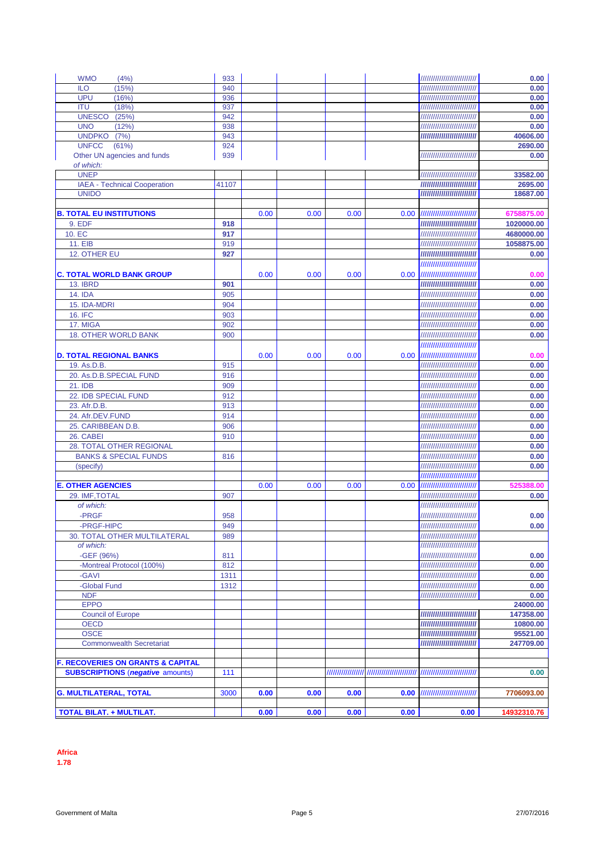| <b>WMO</b><br>(4%)                           | 933   |      |      |      |                   | /////////////////////////////      | 0.00        |
|----------------------------------------------|-------|------|------|------|-------------------|------------------------------------|-------------|
| (15%)<br><b>ILO</b>                          | 940   |      |      |      |                   |                                    | 0.00        |
| <b>UPU</b><br>(16%)                          | 936   |      |      |      |                   | ////////////////////////////       | 0.00        |
| (18%)<br><b>ITU</b>                          | 937   |      |      |      |                   | /////////////////////////////      | 0.00        |
| <b>UNESCO</b><br>(25%)                       | 942   |      |      |      |                   |                                    | 0.00        |
| <b>UNO</b><br>(12%)                          | 938   |      |      |      |                   |                                    | 0.00        |
| <b>UNDPKO</b><br>(7%)                        | 943   |      |      |      |                   | /////////////////////////////      | 40606.00    |
| <b>UNFCC</b><br>(61%)                        | 924   |      |      |      |                   |                                    | 2690.00     |
| Other UN agencies and funds                  | 939   |      |      |      |                   |                                    | 0.00        |
| of which:                                    |       |      |      |      |                   |                                    |             |
| <b>UNEP</b>                                  |       |      |      |      |                   | ////////////////////////////       | 33582.00    |
| <b>IAEA - Technical Cooperation</b>          | 41107 |      |      |      |                   |                                    | 2695.00     |
| <b>UNIDO</b>                                 |       |      |      |      |                   |                                    | 18687.00    |
|                                              |       |      |      |      |                   |                                    |             |
| <b>B. TOTAL EU INSTITUTIONS</b>              |       | 0.00 | 0.00 | 0.00 | 0.00              |                                    | 6758875.00  |
| 9. EDF                                       | 918   |      |      |      |                   |                                    | 1020000.00  |
| 10. EC                                       | 917   |      |      |      |                   | /////////////////////////////      | 4680000.00  |
| 11. EIB                                      | 919   |      |      |      |                   |                                    | 1058875.00  |
| 12. OTHER EU                                 | 927   |      |      |      |                   | ////////////////////////////       | 0.00        |
|                                              |       |      |      |      |                   | /////////////////////////////      |             |
| <b>C. TOTAL WORLD BANK GROUP</b>             |       | 0.00 | 0.00 | 0.00 |                   | 0.00  //////////////////////////// | 0.00        |
| <b>13. IBRD</b>                              | 901   |      |      |      |                   |                                    | 0.00        |
| <b>14. IDA</b>                               | 905   |      |      |      |                   |                                    | 0.00        |
| 15. IDA-MDRI                                 | 904   |      |      |      |                   | //////////////////////////////     | 0.00        |
| <b>16. IFC</b>                               | 903   |      |      |      |                   | ////////////////////////////       | 0.00        |
| 17. MIGA                                     | 902   |      |      |      |                   |                                    |             |
|                                              |       |      |      |      |                   |                                    | 0.00        |
| <b>18. OTHER WORLD BANK</b>                  | 900   |      |      |      |                   | ////////////////////////////       | 0.00        |
|                                              |       |      |      |      |                   | //////////////////////////////     |             |
| <b>D. TOTAL REGIONAL BANKS</b>               |       | 0.00 | 0.00 | 0.00 | 0.00              |                                    | 0.00        |
| 19. As.D.B.                                  | 915   |      |      |      |                   | ////////////////////////////       | 0.00        |
| 20. As.D.B.SPECIAL FUND                      | 916   |      |      |      |                   | /////////////////////////////      | 0.00        |
| 21. IDB                                      | 909   |      |      |      |                   |                                    | 0.00        |
| 22. IDB SPECIAL FUND                         | 912   |      |      |      |                   | ////////////////////////////       | 0.00        |
| 23. Afr.D.B.                                 | 913   |      |      |      |                   | /////////////////////////////      | 0.00        |
| 24. Afr.DEV.FUND                             | 914   |      |      |      |                   | /////////////////////////////      | 0.00        |
| 25. CARIBBEAN D.B.                           | 906   |      |      |      |                   | ////////////////////////////       | 0.00        |
| 26. CABEI                                    | 910   |      |      |      |                   | ////////////////////////////       | 0.00        |
| 28. TOTAL OTHER REGIONAL                     |       |      |      |      |                   | /////////////////////////////      | 0.00        |
| <b>BANKS &amp; SPECIAL FUNDS</b>             | 816   |      |      |      |                   | ////////////////////////////       | 0.00        |
| (specify)                                    |       |      |      |      |                   | ////////////////////////////       | 0.00        |
|                                              |       |      |      |      |                   |                                    |             |
| <b>E. OTHER AGENCIES</b>                     |       | 0.00 | 0.00 | 0.00 | 0.00 <sub>1</sub> | /////////////////////////////      | 525388.00   |
| 29. IMF, TOTAL                               | 907   |      |      |      |                   |                                    | 0.00        |
| of which:                                    |       |      |      |      |                   |                                    |             |
| -PRGF                                        | 958   |      |      |      |                   | ////////////////////////////       | 0.00        |
| -PRGF-HIPC                                   | 949   |      |      |      |                   |                                    | 0.00        |
| 30. TOTAL OTHER MULTILATERAL                 | 989   |      |      |      |                   | ////////////////////////////       |             |
| of which:                                    |       |      |      |      |                   | /////////////////////////////      |             |
| -GEF (96%)                                   | 811   |      |      |      |                   | ////////////////////////////       | 0.00        |
| -Montreal Protocol (100%)                    | 812   |      |      |      |                   | /////////////////////////////      | 0.00        |
| -GAVI                                        | 1311  |      |      |      |                   | ////////////////////////////       | 0.00        |
| -Global Fund                                 | 1312  |      |      |      |                   | /////////////////////////////      | 0.00        |
| <b>NDF</b>                                   |       |      |      |      |                   | /////////////////////////////      | 0.00        |
| <b>EPPO</b>                                  |       |      |      |      |                   |                                    | 24000.00    |
| <b>Council of Europe</b>                     |       |      |      |      |                   | ////////////////////////////       | 147358.00   |
| <b>OECD</b>                                  |       |      |      |      |                   | ////////////////////////////       | 10800.00    |
| <b>OSCE</b>                                  |       |      |      |      |                   | ////////////////////////////       | 95521.00    |
| <b>Commonwealth Secretariat</b>              |       |      |      |      |                   | //////////////////////////////     | 247709.00   |
|                                              |       |      |      |      |                   |                                    |             |
| <b>F. RECOVERIES ON GRANTS &amp; CAPITAL</b> |       |      |      |      |                   |                                    |             |
| <b>SUBSCRIPTIONS (negative amounts)</b>      |       |      |      |      |                   |                                    |             |
|                                              | 111   |      |      |      |                   |                                    | 0.00        |
|                                              |       |      |      |      |                   |                                    |             |
| <b>G. MULTILATERAL, TOTAL</b>                | 3000  | 0.00 | 0.00 | 0.00 | 0.00              |                                    | 7706093.00  |
|                                              |       |      |      |      |                   |                                    |             |
| <b>TOTAL BILAT. + MULTILAT.</b>              |       | 0.00 | 0.00 | 0.00 | 0.00              | 0.00                               | 14932310.76 |